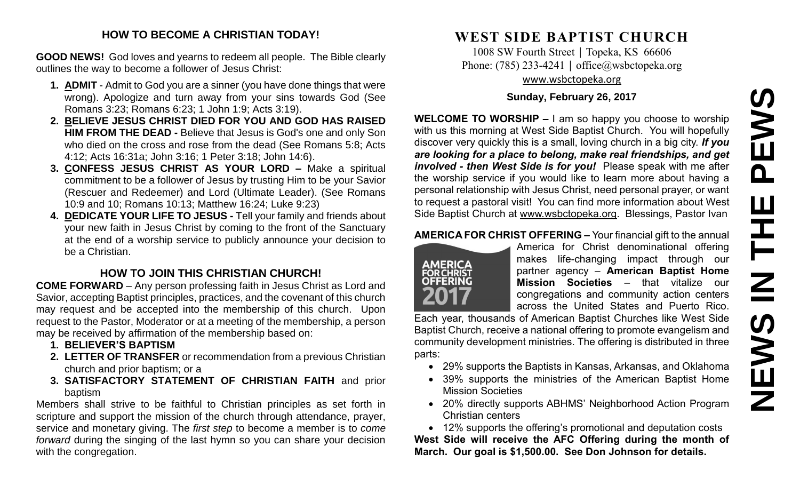#### **HOW TO BECOME A CHRISTIAN TODAY!**

**GOOD NEWS!** God loves and yearns to redeem all people. The Bible clearly outlines the way to become a follower of Jesus Christ:

- **1. ADMIT** Admit to God you are a sinner (you have done things that were wrong). Apologize and turn away from your sins towards God (See Romans 3:23; Romans 6:23; 1 John 1:9; Acts 3:19).
- **2. BELIEVE JESUS CHRIST DIED FOR YOU AND GOD HAS RAISED HIM FROM THE DEAD -** Believe that Jesus is God's one and only Son who died on the cross and rose from the dead (See Romans 5:8; Acts 4:12; Acts 16:31a; John 3:16; 1 Peter 3:18; John 14:6).
- **3. CONFESS JESUS CHRIST AS YOUR LORD –** Make a spiritual commitment to be a follower of Jesus by trusting Him to be your Savior (Rescuer and Redeemer) and Lord (Ultimate Leader). (See Romans 10:9 and 10; Romans 10:13; Matthew 16:24; Luke 9:23)
- **4. DEDICATE YOUR LIFE TO JESUS -** Tell your family and friends about your new faith in Jesus Christ by coming to the front of the Sanctuary at the end of a worship service to publicly announce your decision to be a Christian.

# **HOW TO JOIN THIS CHRISTIAN CHURCH!**

**COME FORWARD** – Any person professing faith in Jesus Christ as Lord and Savior, accepting Baptist principles, practices, and the covenant of this church may request and be accepted into the membership of this church. Upon request to the Pastor, Moderator or at a meeting of the membership, a person may be received by affirmation of the membership based on:

- **1. BELIEVER'S BAPTISM**
- **2. LETTER OF TRANSFER** or recommendation from a previous Christian church and prior baptism; or a
- **3. SATISFACTORY STATEMENT OF CHRISTIAN FAITH** and prior baptism

Members shall strive to be faithful to Christian principles as set forth in scripture and support the mission of the church through attendance, prayer, service and monetary giving. The *first step* to become a member is to *come forward* during the singing of the last hymn so you can share your decision with the congregation.

# **WEST SIDE BAPTIST CHURCH**

1008 SW Fourth Street | Topeka, KS 66606 Phone: (785) 233-4241 │ [office@wsbctopeka.org](mailto:office@wsbctopeka.org) [www.wsbctopeka.org](http://www.wsbctopeka.org/)

# **Sunday, February 26, 2017**

**WELCOME TO WORSHIP –** I am so happy you choose to worship with us this morning at West Side Baptist Church. You will hopefully discover very quickly this is a small, loving church in a big city. *If you are looking for a place to belong, make real friendships, and get involved - then West Side is for you!* Please speak with me after the worship service if you would like to learn more about having a personal relationship with Jesus Christ, need personal prayer, or want to request a pastoral visit! You can find more information about West Side Baptist Church at [www.wsbctopeka.org.](http://www.wsbctopeka.org/) Blessings, Pastor Ivan

# **AMERICA FOR CHRIST OFFERING –** Your financial gift to the annual



America for Christ denominational offering makes life-changing impact through our partner agency – **American Baptist Home Mission Societies** – that vitalize our congregations and community action centers across the United States and Puerto Rico.

Each year, thousands of American Baptist Churches like West Side Baptist Church, receive a national offering to promote evangelism and community development ministries. The offering is distributed in three parts:

- 29% supports the Baptists in Kansas, Arkansas, and Oklahoma
- 39% supports the ministries of the American Baptist Home Mission Societies
- 20% directly supports ABHMS' Neighborhood Action Program Christian centers

 12% supports the offering's promotional and deputation costs **West Side will receive the AFC Offering during the month of March. Our goal is \$1,500.00. See Don Johnson for details.**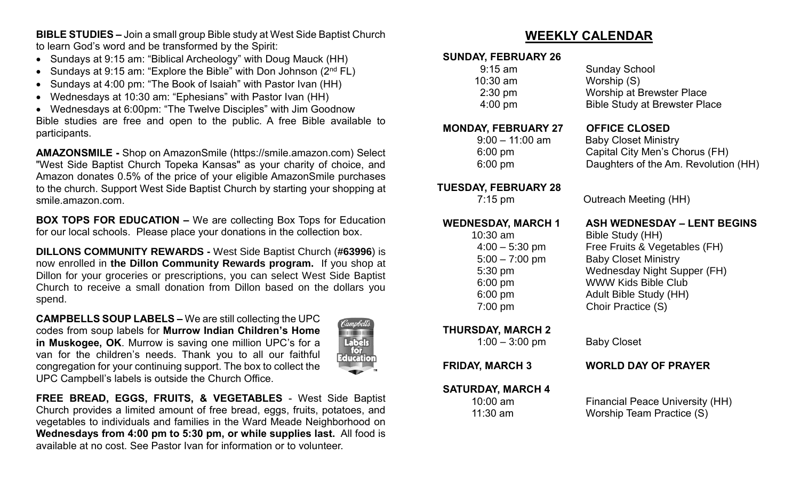**BIBLE STUDIES –** Join a small group Bible study at West Side Baptist Church to learn God's word and be transformed by the Spirit:

- Sundays at 9:15 am: "Biblical Archeology" with Doug Mauck (HH)
- Sundays at 9:15 am: "Explore the Bible" with Don Johnson  $(2^{nd} FL)$
- Sundays at 4:00 pm: "The Book of Isaiah" with Pastor Ivan (HH)
- Wednesdays at 10:30 am: "Ephesians" with Pastor Ivan (HH)

 Wednesdays at 6:00pm: "The Twelve Disciples" with Jim Goodnow Bible studies are free and open to the public. A free Bible available to participants.

**AMAZONSMILE -** Shop on AmazonSmile (https://smile.amazon.com) Select "West Side Baptist Church Topeka Kansas" as your charity of choice, and Amazon donates 0.5% of the price of your eligible AmazonSmile purchases to the church. Support West Side Baptist Church by starting your shopping at smile.amazon.com.

**BOX TOPS FOR EDUCATION –** We are collecting Box Tops for Education for our local schools. Please place your donations in the collection box.

**DILLONS COMMUNITY REWARDS -** West Side Baptist Church (**#63996**) is now enrolled in **the Dillon Community Rewards program.** If you shop at Dillon for your groceries or prescriptions, you can select West Side Baptist Church to receive a small donation from Dillon based on the dollars you spend.

**CAMPBELLS SOUP LABELS –** We are still collecting the UPC codes from soup labels for **Murrow Indian Children's Home in Muskogee, OK**. Murrow is saving one million UPC's for a van for the children's needs. Thank you to all our faithful congregation for your continuing support. The box to collect the UPC Campbell's labels is outside the Church Office.



**FREE BREAD, EGGS, FRUITS, & VEGETABLES** - West Side Baptist Church provides a limited amount of free bread, eggs, fruits, potatoes, and vegetables to individuals and families in the Ward Meade Neighborhood on **Wednesdays from 4:00 pm to 5:30 pm, or while supplies last.** All food is available at no cost. See Pastor Ivan for information or to volunteer.

# **WEEKLY CALENDAR**

#### **SUNDAY, FEBRUARY 26**

| $9:15$ am         | <b>Sunday School</b>          |
|-------------------|-------------------------------|
| $10:30$ am        | Worship (S)                   |
| $2:30 \text{ pm}$ | Worship at Brewster Place     |
| $4:00 \text{ pm}$ | Bible Study at Brewster Place |
|                   |                               |

#### **MONDAY, FEBRUARY 27 OFFICE CLOSED**

# **TUESDAY, FEBRUARY 28**

10:30 am Bible Study (HH)

**THURSDAY, MARCH 2** 

 9:00 – 11:00 am Baby Closet Ministry 6:00 pm Capital City Men's Chorus (FH) 6:00 pm Daughters of the Am. Revolution (HH)

7:15 pm Outreach Meeting (HH)

# **WEDNESDAY, MARCH 1 ASH WEDNESDAY – LENT BEGINS**

 4:00 – 5:30 pm Free Fruits & Vegetables (FH) 5:00 – 7:00 pm Baby Closet Ministry 5:30 pm Wednesday Night Supper (FH) 6:00 pm WWW Kids Bible Club 6:00 pm Adult Bible Study (HH) 7:00 pm Choir Practice (S)

1:00 – 3:00 pm Baby Closet

### **FRIDAY, MARCH 3 WORLD DAY OF PRAYER**

**SATURDAY, MARCH 4**

10:00 am Financial Peace University (HH) 11:30 am Worship Team Practice (S)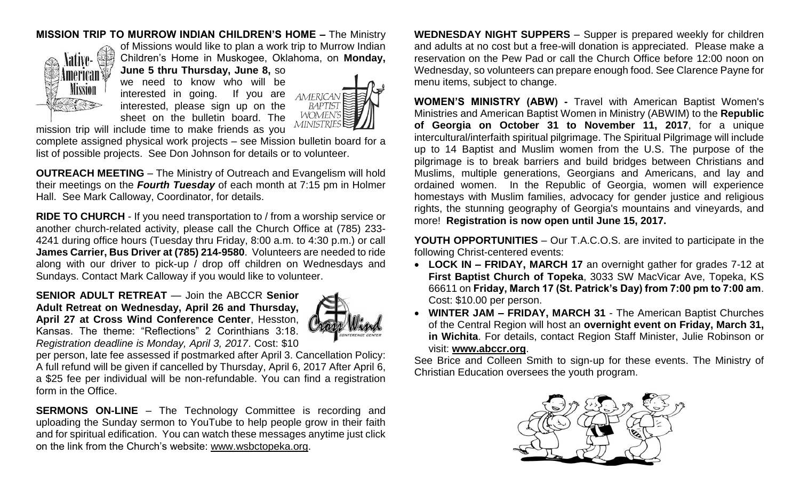### **MISSION TRIP TO MURROW INDIAN CHILDREN'S HOME –** The Ministry



of Missions would like to plan a work trip to Murrow Indian Children's Home in Muskogee, Oklahoma, on **Monday, June 5 thru Thursday, June 8,** so

we need to know who will be interested in going. If you are interested, please sign up on the sheet on the bulletin board. The



mission trip will include time to make friends as you

complete assigned physical work projects – see Mission bulletin board for a list of possible projects. See Don Johnson for details or to volunteer.

**OUTREACH MEETING** – The Ministry of Outreach and Evangelism will hold their meetings on the *Fourth Tuesday* of each month at 7:15 pm in Holmer Hall. See Mark Calloway, Coordinator, for details.

**RIDE TO CHURCH** - If you need transportation to / from a worship service or another church-related activity, please call the Church Office at (785) 233- 4241 during office hours (Tuesday thru Friday, 8:00 a.m. to 4:30 p.m.) or call **James Carrier, Bus Driver at (785) 214-9580**. Volunteers are needed to ride along with our driver to pick-up / drop off children on Wednesdays and Sundays. Contact Mark Calloway if you would like to volunteer.

**SENIOR ADULT RETREAT** — Join the ABCCR **Senior Adult Retreat on Wednesday, April 26 and Thursday, April 27 at Cross Wind Conference Center**, Hesston, Kansas. The theme: "Reflections" 2 Corinthians 3:18. *Registration deadline is Monday, April 3, 2017*. Cost: \$10



per person, late fee assessed if postmarked after April 3. Cancellation Policy: A full refund will be given if cancelled by Thursday, April 6, 2017 After April 6, a \$25 fee per individual will be non-refundable. You can find a registration form in the Office.

**SERMONS ON-LINE** – The Technology Committee is recording and uploading the Sunday sermon to YouTube to help people grow in their faith and for spiritual edification. You can watch these messages anytime just click on the link from the Church's website: [www.wsbctopeka.org.](http://www.wsbctopeka.org/)

**WEDNESDAY NIGHT SUPPERS** – Supper is prepared weekly for children and adults at no cost but a free-will donation is appreciated. Please make a reservation on the Pew Pad or call the Church Office before 12:00 noon on Wednesday, so volunteers can prepare enough food. See Clarence Payne for menu items, subject to change.

**WOMEN'S MINISTRY (ABW) -** Travel with American Baptist Women's Ministries and American Baptist Women in Ministry (ABWIM) to the **Republic of Georgia on October 31 to November 11, 2017**, for a unique intercultural/interfaith spiritual pilgrimage. The Spiritual Pilgrimage will include up to 14 Baptist and Muslim women from the U.S. The purpose of the pilgrimage is to break barriers and build bridges between Christians and Muslims, multiple generations, Georgians and Americans, and lay and ordained women. In the Republic of Georgia, women will experience homestays with Muslim families, advocacy for gender justice and religious rights, the stunning geography of Georgia's mountains and vineyards, and more! **Registration is now open until June 15, 2017.**

**YOUTH OPPORTUNITIES** – Our T.A.C.O.S. are invited to participate in the following Christ-centered events:

- **LOCK IN – FRIDAY, MARCH 17** an overnight gather for grades 7-12 at **First Baptist Church of Topeka**, 3033 SW MacVicar Ave, Topeka, KS 66611 on **Friday, March 17 (St. Patrick's Day) from 7:00 pm to 7:00 am**. Cost: \$10.00 per person.
- **WINTER JAM – FRIDAY, MARCH 31**  The American Baptist Churches of the Central Region will host an **overnight event on Friday, March 31, in Wichita**. For details, contact Region Staff Minister, Julie Robinson or visit: **[www.abccr.org](http://www.abccr.org/)**.

See Brice and Colleen Smith to sign-up for these events. The Ministry of Christian Education oversees the youth program.